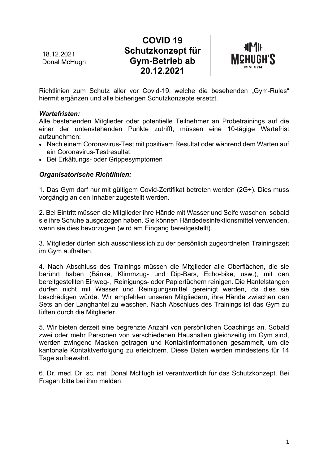| 18.12.2021<br>Donal McHugh | <b>COVID 19</b><br>Schutzkonzept für<br><b>Gym-Betrieb ab</b><br>20.12.2021 | <b>-11 41 +11</b><br><b>MCHUGH'S</b><br><b>MINI GYM</b> |
|----------------------------|-----------------------------------------------------------------------------|---------------------------------------------------------|
|                            |                                                                             |                                                         |

Richtlinien zum Schutz aller vor Covid-19, welche die besehenden "Gym-Rules" hiermit ergänzen und alle bisherigen Schutzkonzepte ersetzt.

### *Wartefristen:*

Alle bestehenden Mitglieder oder potentielle Teilnehmer an Probetrainings auf die einer der untenstehenden Punkte zutrifft, müssen eine 10-tägige Wartefrist aufzunehmen:

- Nach einem Coronavirus-Test mit positivem Resultat oder während dem Warten auf ein Coronavirus-Testresultat
- Bei Erkältungs- oder Grippesymptomen

#### *Organisatorische Richtlinien:*

1. Das Gym darf nur mit gültigem Covid-Zertifikat betreten werden (2G+). Dies muss vorgängig an den Inhaber zugestellt werden.

2. Bei Eintritt müssen die Mitglieder ihre Hände mit Wasser und Seife waschen, sobald sie ihre Schuhe ausgezogen haben. Sie können Händedesinfektionsmittel verwenden, wenn sie dies bevorzugen (wird am Eingang bereitgestellt).

3. Mitglieder dürfen sich ausschliesslich zu der persönlich zugeordneten Trainingszeit im Gym aufhalten.

4. Nach Abschluss des Trainings müssen die Mitglieder alle Oberflächen, die sie berührt haben (Bänke, Klimmzug- und Dip-Bars, Echo-bike, usw.), mit den bereitgestellten Einweg-, Reinigungs- oder Papiertüchern reinigen. Die Hantelstangen dürfen nicht mit Wasser und Reinigungsmittel gereinigt werden, da dies sie beschädigen würde. Wir empfehlen unseren Mitgliedern, ihre Hände zwischen den Sets an der Langhantel zu waschen. Nach Abschluss des Trainings ist das Gym zu lüften durch die Mitglieder.

5. Wir bieten derzeit eine begrenzte Anzahl von persönlichen Coachings an. Sobald zwei oder mehr Personen von verschiedenen Haushalten gleichzeitig im Gym sind, werden zwingend Masken getragen und Kontaktinformationen gesammelt, um die kantonale Kontaktverfolgung zu erleichtern. Diese Daten werden mindestens für 14 Tage aufbewahrt.

6. Dr. med. Dr. sc. nat. Donal McHugh ist verantwortlich für das Schutzkonzept. Bei Fragen bitte bei ihm melden.